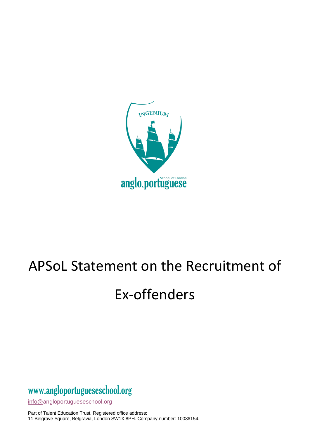

## APSoL Statement on the Recruitment of

## Ex-offenders

## www[.angloportugueseschool.org](https://angloportugueseschool.org/)

[info@a](mailto:info@)ngloportugueseschool.org

Part of Talent Education Trust. Registered office address: 11 Belgrave Square, Belgravia, London SW1X 8PH. Company number: 10036154.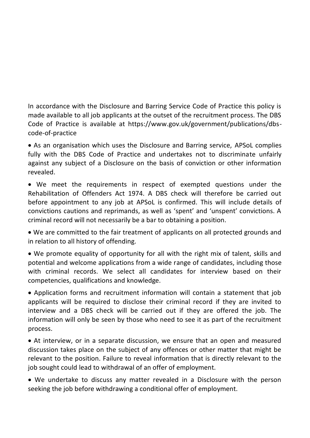In accordance with the Disclosure and Barring Service Code of Practice this policy is made available to all job applicants at the outset of the recruitment process. The DBS Code of Practice is available at https://www.gov.uk/government/publications/dbscode-of-practice

• As an organisation which uses the Disclosure and Barring service, APSoL complies fully with the DBS Code of Practice and undertakes not to discriminate unfairly against any subject of a Disclosure on the basis of conviction or other information revealed.

• We meet the requirements in respect of exempted questions under the Rehabilitation of Offenders Act 1974. A DBS check will therefore be carried out before appointment to any job at APSoL is confirmed. This will include details of convictions cautions and reprimands, as well as 'spent' and 'unspent' convictions. A criminal record will not necessarily be a bar to obtaining a position.

• We are committed to the fair treatment of applicants on all protected grounds and in relation to all history of offending.

• We promote equality of opportunity for all with the right mix of talent, skills and potential and welcome applications from a wide range of candidates, including those with criminal records. We select all candidates for interview based on their competencies, qualifications and knowledge.

• Application forms and recruitment information will contain a statement that job applicants will be required to disclose their criminal record if they are invited to interview and a DBS check will be carried out if they are offered the job. The information will only be seen by those who need to see it as part of the recruitment process.

• At interview, or in a separate discussion, we ensure that an open and measured discussion takes place on the subject of any offences or other matter that might be relevant to the position. Failure to reveal information that is directly relevant to the job sought could lead to withdrawal of an offer of employment.

• We undertake to discuss any matter revealed in a Disclosure with the person seeking the job before withdrawing a conditional offer of employment.